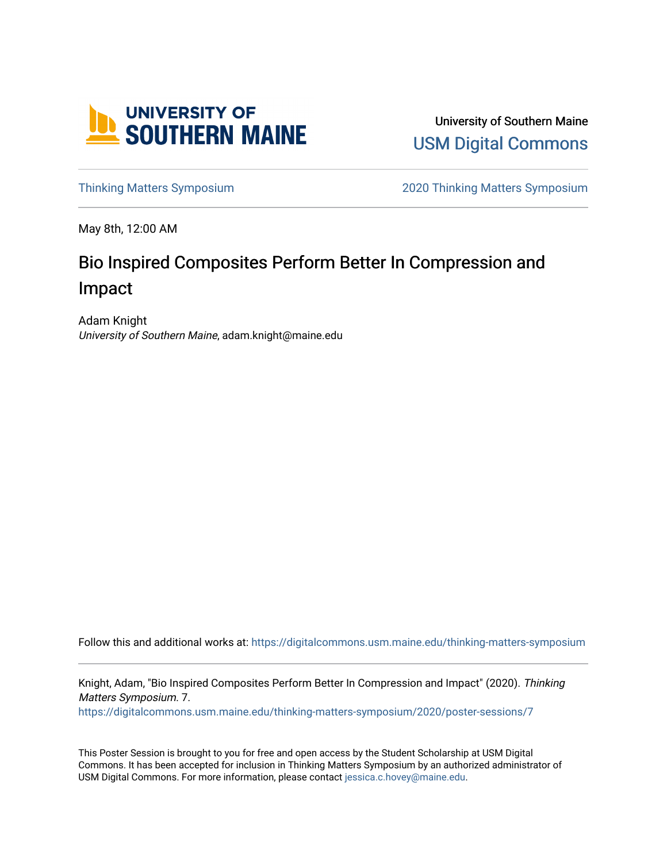

University of Southern Maine [USM Digital Commons](https://digitalcommons.usm.maine.edu/) 

[Thinking Matters Symposium](https://digitalcommons.usm.maine.edu/thinking-matters-symposium) [2020 Thinking Matters Symposium](https://digitalcommons.usm.maine.edu/thinking-matters-symposium/2020) 

May 8th, 12:00 AM

### Bio Inspired Composites Perform Better In Compression and Impact

Adam Knight University of Southern Maine, adam.knight@maine.edu

Follow this and additional works at: [https://digitalcommons.usm.maine.edu/thinking-matters-symposium](https://digitalcommons.usm.maine.edu/thinking-matters-symposium?utm_source=digitalcommons.usm.maine.edu%2Fthinking-matters-symposium%2F2020%2Fposter-sessions%2F7&utm_medium=PDF&utm_campaign=PDFCoverPages) 

Knight, Adam, "Bio Inspired Composites Perform Better In Compression and Impact" (2020). Thinking Matters Symposium. 7. [https://digitalcommons.usm.maine.edu/thinking-matters-symposium/2020/poster-sessions/7](https://digitalcommons.usm.maine.edu/thinking-matters-symposium/2020/poster-sessions/7?utm_source=digitalcommons.usm.maine.edu%2Fthinking-matters-symposium%2F2020%2Fposter-sessions%2F7&utm_medium=PDF&utm_campaign=PDFCoverPages) 

This Poster Session is brought to you for free and open access by the Student Scholarship at USM Digital Commons. It has been accepted for inclusion in Thinking Matters Symposium by an authorized administrator of USM Digital Commons. For more information, please contact [jessica.c.hovey@maine.edu](mailto:ian.fowler@maine.edu).